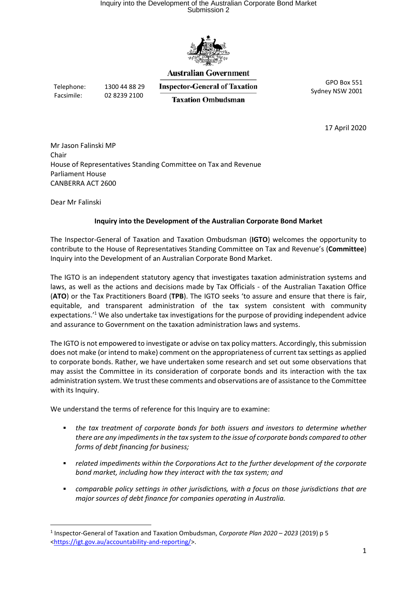# Inquiry into the Development of the Australian Corporate Bond Market Submission 2



#### **Australian Government**

Telephone: 1300 44 88 29 Facsimile: 02 8239 2100

**Inspector-General of Taxation Taxation Ombudsman** 

GPO Box 551 Sydney NSW 2001

17 April 2020

Mr Jason Falinski MP Chair House of Representatives Standing Committee on Tax and Revenue Parliament House CANBERRA ACT 2600

Dear Mr Falinski

-

### Inquiry into the Development of the Australian Corporate Bond Market

The Inspector-General of Taxation and Taxation Ombudsman (IGTO) welcomes the opportunity to contribute to the House of Representatives Standing Committee on Tax and Revenue's (Committee) Inquiry into the Development of an Australian Corporate Bond Market.

The IGTO is an independent statutory agency that investigates taxation administration systems and laws, as well as the actions and decisions made by Tax Officials - of the Australian Taxation Office (ATO) or the Tax Practitioners Board (TPB). The IGTO seeks 'to assure and ensure that there is fair, equitable, and transparent administration of the tax system consistent with community expectations.<sup>1</sup> We also undertake tax investigations for the purpose of providing independent advice and assurance to Government on the taxation administration laws and systems.

The IGTO is not empowered to investigate or advise on tax policy matters. Accordingly, this submission does not make (or intend to make) comment on the appropriateness of current tax settings as applied to corporate bonds. Rather, we have undertaken some research and set out some observations that may assist the Committee in its consideration of corporate bonds and its interaction with the tax administration system. We trust these comments and observations are of assistance to the Committee with its Inquiry.

We understand the terms of reference for this Inquiry are to examine:

- the tax treatment of corporate bonds for both issuers and investors to determine whether there are any impediments in the tax system to the issue of corporate bonds compared to other forms of debt financing for business;
- related impediments within the Corporations Act to the further development of the corporate bond market, including how they interact with the tax system; and
- comparable policy settings in other jurisdictions, with a focus on those jurisdictions that are major sources of debt finance for companies operating in Australia.

<sup>&</sup>lt;sup>1</sup> Inspector-General of Taxation and Taxation Ombudsman, Corporate Plan 2020 - 2023 (2019) p 5 <https://igt.gov.au/accountability-and-reporting/>.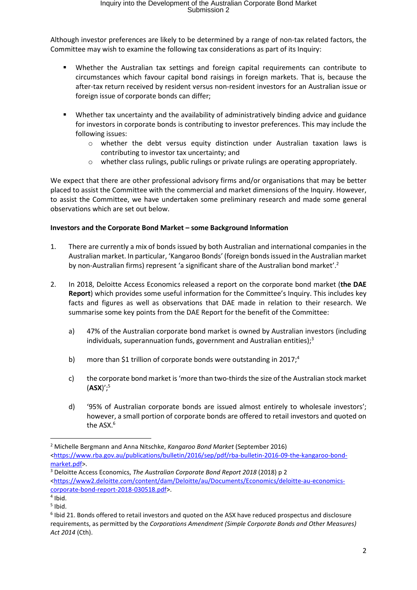Although investor preferences are likely to be determined by a range of non-tax related factors, the Committee may wish to examine the following tax considerations as part of its Inquiry:

- Whether the Australian tax settings and foreign capital requirements can contribute to circumstances which favour capital bond raisings in foreign markets. That is, because the after-tax return received by resident versus non-resident investors for an Australian issue or foreign issue of corporate bonds can differ;
- Whether tax uncertainty and the availability of administratively binding advice and guidance for investors in corporate bonds is contributing to investor preferences. This may include the following issues:
	- $\circ$  whether the debt versus equity distinction under Australian taxation laws is contributing to investor tax uncertainty; and
	- o whether class rulings, public rulings or private rulings are operating appropriately.

We expect that there are other professional advisory firms and/or organisations that may be better placed to assist the Committee with the commercial and market dimensions of the Inquiry. However, to assist the Committee, we have undertaken some preliminary research and made some general observations which are set out below.

### Investors and the Corporate Bond Market – some Background Information

- 1. There are currently a mix of bonds issued by both Australian and international companies in the Australian market. In particular, 'Kangaroo Bonds' (foreign bonds issued in the Australian market by non-Australian firms) represent 'a significant share of the Australian bond market'.<sup>2</sup>
- 2. In 2018, Deloitte Access Economics released a report on the corporate bond market (the DAE Report) which provides some useful information for the Committee's Inquiry. This includes key facts and figures as well as observations that DAE made in relation to their research. We summarise some key points from the DAE Report for the benefit of the Committee:
	- a) 47% of the Australian corporate bond market is owned by Australian investors (including individuals, superannuation funds, government and Australian entities);<sup>3</sup>
	- b) more than \$1 trillion of corporate bonds were outstanding in 2017;<sup>4</sup>
	- c) the corporate bond market is 'more than two-thirds the size of the Australian stock market  $(ASX)$ ';<sup>5</sup>
	- d) '95% of Australian corporate bonds are issued almost entirely to wholesale investors'; however, a small portion of corporate bonds are offered to retail investors and quoted on the ASX.<sup>6</sup>

<sup>&</sup>lt;sup>2</sup> Michelle Bergmann and Anna Nitschke, Kangaroo Bond Market (September 2016) <https://www.rba.gov.au/publications/bulletin/2016/sep/pdf/rba-bulletin-2016-09-the-kangaroo-bondmarket.pdf>.

<sup>&</sup>lt;sup>3</sup> Deloitte Access Economics, The Australian Corporate Bond Report 2018 (2018) p 2 <https://www2.deloitte.com/content/dam/Deloitte/au/Documents/Economics/deloitte-au-economicscorporate-bond-report-2018-030518.pdf>.

<sup>4</sup> Ibid.

<sup>5</sup> Ibid.

<sup>&</sup>lt;sup>6</sup> Ibid 21. Bonds offered to retail investors and quoted on the ASX have reduced prospectus and disclosure requirements, as permitted by the Corporations Amendment (Simple Corporate Bonds and Other Measures) Act 2014 (Cth).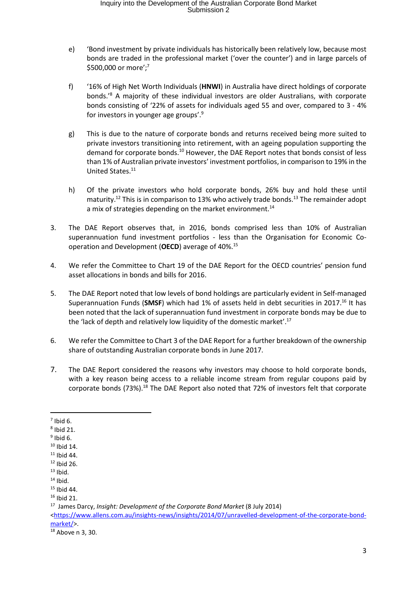# Inquiry into the Development of the Australian Corporate Bond Market Submission 2

- e) 'Bond investment by private individuals has historically been relatively low, because most bonds are traded in the professional market ('over the counter') and in large parcels of \$500,000 or more';<sup>7</sup>
- f) '16% of High Net Worth Individuals (HNWI) in Australia have direct holdings of corporate bonds.'<sup>8</sup> A majority of these individual investors are older Australians, with corporate bonds consisting of '22% of assets for individuals aged 55 and over, compared to 3 - 4% for investors in younger age groups'.<sup>9</sup>
- g) This is due to the nature of corporate bonds and returns received being more suited to private investors transitioning into retirement, with an ageing population supporting the demand for corporate bonds.<sup>10</sup> However, the DAE Report notes that bonds consist of less than 1% of Australian private investors' investment portfolios, in comparison to 19% in the United States.<sup>11</sup>
- h) Of the private investors who hold corporate bonds, 26% buy and hold these until maturity.<sup>12</sup> This is in comparison to 13% who actively trade bonds.<sup>13</sup> The remainder adopt a mix of strategies depending on the market environment.<sup>14</sup>
- 3. The DAE Report observes that, in 2016, bonds comprised less than 10% of Australian superannuation fund investment portfolios - less than the Organisation for Economic Cooperation and Development (OECD) average of 40%.<sup>15</sup>
- 4. We refer the Committee to Chart 19 of the DAE Report for the OECD countries' pension fund asset allocations in bonds and bills for 2016.
- 5. The DAE Report noted that low levels of bond holdings are particularly evident in Self-managed Superannuation Funds (SMSF) which had 1% of assets held in debt securities in 2017.<sup>16</sup> It has been noted that the lack of superannuation fund investment in corporate bonds may be due to the 'lack of depth and relatively low liquidity of the domestic market'.<sup>17</sup>
- 6. We refer the Committee to Chart 3 of the DAE Report for a further breakdown of the ownership share of outstanding Australian corporate bonds in June 2017.
- 7. The DAE Report considered the reasons why investors may choose to hold corporate bonds, with a key reason being access to a reliable income stream from regular coupons paid by corporate bonds (73%).<sup>18</sup> The DAE Report also noted that 72% of investors felt that corporate

 $<sup>7</sup>$  Ibid 6.</sup>

 $8$  Ibid 21.

 $9$  Ibid 6.

 $10$  Ibid 14.

 $11$  Ibid 44.  $12$  Ibid 26.

 $13$  Ibid.

 $14$  Ibid.

<sup>15</sup> Ibid 44.

 $16$  Ibid 21.

<sup>17</sup> James Darcy, Insight: Development of the Corporate Bond Market (8 July 2014)

<sup>&</sup>lt;https://www.allens.com.au/insights-news/insights/2014/07/unravelled-development-of-the-corporate-bondmarket/>.

<sup>18</sup> Above n 3, 30.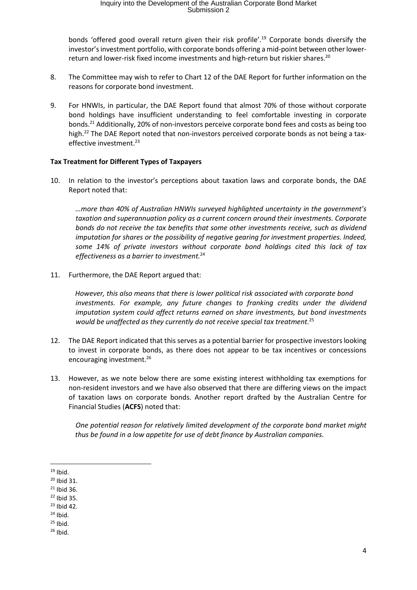bonds 'offered good overall return given their risk profile'.<sup>19</sup> Corporate bonds diversify the investor's investment portfolio, with corporate bonds offering a mid-point between other lowerreturn and lower-risk fixed income investments and high-return but riskier shares.<sup>20</sup>

- 8. The Committee may wish to refer to Chart 12 of the DAE Report for further information on the reasons for corporate bond investment.
- 9. For HNWIs, in particular, the DAE Report found that almost 70% of those without corporate bond holdings have insufficient understanding to feel comfortable investing in corporate bonds.<sup>21</sup> Additionally, 20% of non-investors perceive corporate bond fees and costs as being too high.<sup>22</sup> The DAE Report noted that non-investors perceived corporate bonds as not being a taxeffective investment.<sup>23</sup>

#### Tax Treatment for Different Types of Taxpayers

10. In relation to the investor's perceptions about taxation laws and corporate bonds, the DAE Report noted that:

…more than 40% of Australian HNWIs surveyed highlighted uncertainty in the government's taxation and superannuation policy as a current concern around their investments. Corporate bonds do not receive the tax benefits that some other investments receive, such as dividend imputation for shares or the possibility of negative gearing for investment properties. Indeed, some 14% of private investors without corporate bond holdings cited this lack of tax effectiveness as a barrier to investment.<sup>24</sup>

11. Furthermore, the DAE Report argued that:

However, this also means that there is lower political risk associated with corporate bond investments. For example, any future changes to franking credits under the dividend imputation system could affect returns earned on share investments, but bond investments would be unaffected as they currently do not receive special tax treatment. $^{25}$ 

- 12. The DAE Report indicated that this serves as a potential barrier for prospective investors looking to invest in corporate bonds, as there does not appear to be tax incentives or concessions encouraging investment.<sup>26</sup>
- 13. However, as we note below there are some existing interest withholding tax exemptions for non-resident investors and we have also observed that there are differing views on the impact of taxation laws on corporate bonds. Another report drafted by the Australian Centre for Financial Studies (ACFS) noted that:

 One potential reason for relatively limited development of the corporate bond market might thus be found in a low appetite for use of debt finance by Australian companies.

<sup>-</sup> $19$  Ibid.

<sup>20</sup> Ibid 31.

<sup>21</sup> Ibid 36.

 $22$  Ibid 35.

<sup>23</sup> Ibid 42.

 $24$  Ibid.

 $25$  Ibid.

 $26$  Ibid.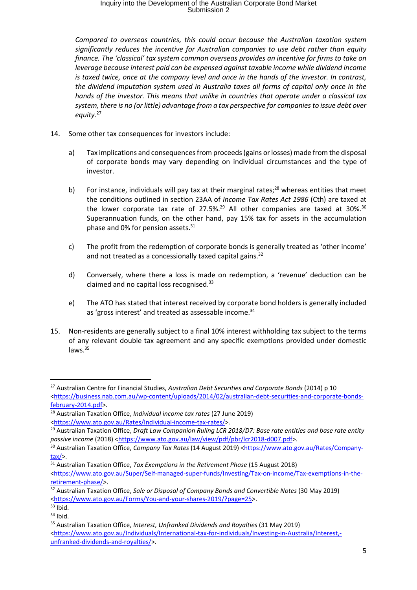# Inquiry into the Development of the Australian Corporate Bond Market Submission 2

Compared to overseas countries, this could occur because the Australian taxation system significantly reduces the incentive for Australian companies to use debt rather than equity finance. The 'classical' tax system common overseas provides an incentive for firms to take on leverage because interest paid can be expensed against taxable income while dividend income is taxed twice, once at the company level and once in the hands of the investor. In contrast, the dividend imputation system used in Australia taxes all forms of capital only once in the hands of the investor. This means that unlike in countries that operate under a classical tax system, there is no (or little) advantage from a tax perspective for companies to issue debt over equity. $27$ 

- 14. Some other tax consequences for investors include:
	- a) Tax implications and consequences from proceeds (gains or losses) made from the disposal of corporate bonds may vary depending on individual circumstances and the type of investor.
	- b) For instance, individuals will pay tax at their marginal rates;<sup>28</sup> whereas entities that meet the conditions outlined in section 23AA of Income Tax Rates Act 1986 (Cth) are taxed at the lower corporate tax rate of  $27.5\%$ .<sup>29</sup> All other companies are taxed at  $30\%$ .<sup>30</sup> Superannuation funds, on the other hand, pay 15% tax for assets in the accumulation phase and 0% for pension assets.<sup>31</sup>
	- c) The profit from the redemption of corporate bonds is generally treated as 'other income' and not treated as a concessionally taxed capital gains.<sup>32</sup>
	- d) Conversely, where there a loss is made on redemption, a 'revenue' deduction can be claimed and no capital loss recognised.<sup>33</sup>
	- e) The ATO has stated that interest received by corporate bond holders is generally included as 'gross interest' and treated as assessable income.<sup>34</sup>
- 15. Non-residents are generally subject to a final 10% interest withholding tax subject to the terms of any relevant double tax agreement and any specific exemptions provided under domestic laws.<sup>35</sup>

<sup>&</sup>lt;sup>27</sup> Australian Centre for Financial Studies, Australian Debt Securities and Corporate Bonds (2014) p 10 <https://business.nab.com.au/wp-content/uploads/2014/02/australian-debt-securities-and-corporate-bondsfebruary-2014.pdf>.

<sup>&</sup>lt;sup>28</sup> Australian Taxation Office, *Individual income tax rates* (27 June 2019) <https://www.ato.gov.au/Rates/Individual-income-tax-rates/>.

<sup>&</sup>lt;sup>29</sup> Australian Taxation Office, Draft Law Companion Ruling LCR 2018/D7: Base rate entities and base rate entity passive income (2018) <https://www.ato.gov.au/law/view/pdf/pbr/lcr2018-d007.pdf>.

<sup>30</sup> Australian Taxation Office, Company Tax Rates (14 August 2019) <https://www.ato.gov.au/Rates/Companytax/>.

 $31$  Australian Taxation Office, Tax Exemptions in the Retirement Phase (15 August 2018) <https://www.ato.gov.au/Super/Self-managed-super-funds/Investing/Tax-on-income/Tax-exemptions-in-theretirement-phase/>.

<sup>&</sup>lt;sup>32</sup> Australian Taxation Office, Sale or Disposal of Company Bonds and Convertible Notes (30 May 2019) <https://www.ato.gov.au/Forms/You-and-your-shares-2019/?page=25>.

 $33$  Ibid.

 $34$  Ibid.

<sup>&</sup>lt;sup>35</sup> Australian Taxation Office, Interest, Unfranked Dividends and Royalties (31 May 2019)

<sup>&</sup>lt;https://www.ato.gov.au/Individuals/International-tax-for-individuals/Investing-in-Australia/Interest, unfranked-dividends-and-royalties/>.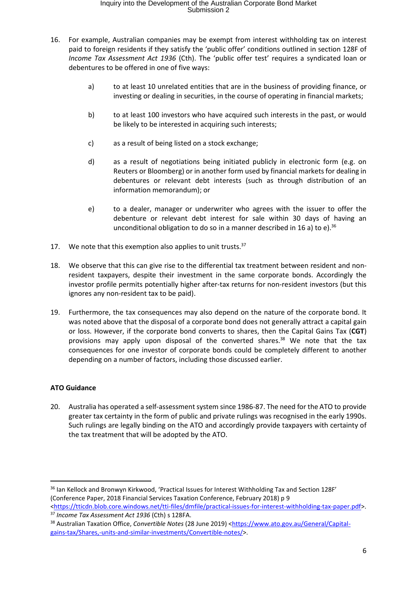- 16. For example, Australian companies may be exempt from interest withholding tax on interest paid to foreign residents if they satisfy the 'public offer' conditions outlined in section 128F of Income Tax Assessment Act 1936 (Cth). The 'public offer test' requires a syndicated loan or debentures to be offered in one of five ways:
	- a) to at least 10 unrelated entities that are in the business of providing finance, or investing or dealing in securities, in the course of operating in financial markets;
	- b) to at least 100 investors who have acquired such interests in the past, or would be likely to be interested in acquiring such interests;
	- c) as a result of being listed on a stock exchange;
	- d) as a result of negotiations being initiated publicly in electronic form (e.g. on Reuters or Bloomberg) or in another form used by financial markets for dealing in debentures or relevant debt interests (such as through distribution of an information memorandum); or
	- e) to a dealer, manager or underwriter who agrees with the issuer to offer the debenture or relevant debt interest for sale within 30 days of having an unconditional obligation to do so in a manner described in 16 a) to e).<sup>36</sup>
- 17. We note that this exemption also applies to unit trusts. $37$
- 18. We observe that this can give rise to the differential tax treatment between resident and nonresident taxpayers, despite their investment in the same corporate bonds. Accordingly the investor profile permits potentially higher after-tax returns for non-resident investors (but this ignores any non-resident tax to be paid).
- 19. Furthermore, the tax consequences may also depend on the nature of the corporate bond. It was noted above that the disposal of a corporate bond does not generally attract a capital gain or loss. However, if the corporate bond converts to shares, then the Capital Gains Tax (CGT) provisions may apply upon disposal of the converted shares. $38$  We note that the tax consequences for one investor of corporate bonds could be completely different to another depending on a number of factors, including those discussed earlier.

## ATO Guidance

-

20. Australia has operated a self-assessment system since 1986-87. The need for the ATO to provide greater tax certainty in the form of public and private rulings was recognised in the early 1990s. Such rulings are legally binding on the ATO and accordingly provide taxpayers with certainty of the tax treatment that will be adopted by the ATO.

<sup>&</sup>lt;sup>36</sup> Ian Kellock and Bronwyn Kirkwood, 'Practical Issues for Interest Withholding Tax and Section 128F' (Conference Paper, 2018 Financial Services Taxation Conference, February 2018) p 9

<sup>&</sup>lt;https://tticdn.blob.core.windows.net/tti-files/dmfile/practical-issues-for-interest-withholding-tax-paper.pdf>. <sup>37</sup> Income Tax Assessment Act 1936 (Cth) s 128FA.

<sup>38</sup> Australian Taxation Office, Convertible Notes (28 June 2019) <https://www.ato.gov.au/General/Capitalgains-tax/Shares,-units-and-similar-investments/Convertible-notes/>.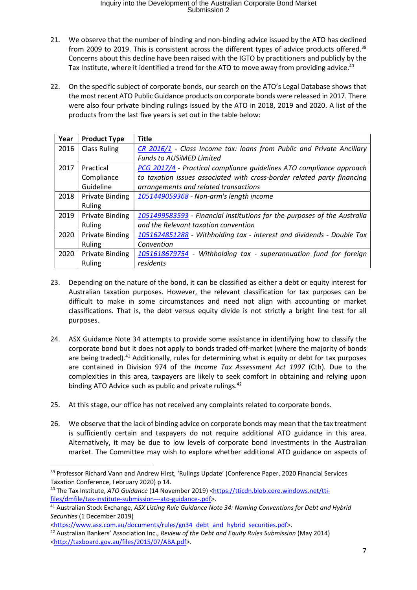- 21. We observe that the number of binding and non-binding advice issued by the ATO has declined from 2009 to 2019. This is consistent across the different types of advice products offered.<sup>39</sup> Concerns about this decline have been raised with the IGTO by practitioners and publicly by the Tax Institute, where it identified a trend for the ATO to move away from providing advice.<sup>40</sup>
- 22. On the specific subject of corporate bonds, our search on the ATO's Legal Database shows that the most recent ATO Public Guidance products on corporate bonds were released in 2017. There were also four private binding rulings issued by the ATO in 2018, 2019 and 2020. A list of the products from the last five years is set out in the table below:

| Year | <b>Product Type</b>    | <b>Title</b>                                                                                   |
|------|------------------------|------------------------------------------------------------------------------------------------|
| 2016 | <b>Class Ruling</b>    | CR 2016/1 - Class Income tax: loans from Public and Private Ancillary                          |
|      |                        | <b>Funds to AUSIMED Limited</b>                                                                |
| 2017 | Practical              | PCG 2017/4 - Practical compliance guidelines ATO compliance approach                           |
|      | Compliance             | to taxation issues associated with cross-border related party financing                        |
|      | Guideline              | arrangements and related transactions                                                          |
| 2018 | <b>Private Binding</b> | 1051449059368 - Non-arm's length income                                                        |
|      | Ruling                 |                                                                                                |
| 2019 | <b>Private Binding</b> | 1051499583593 - Financial institutions for the purposes of the Australia                       |
|      | Ruling                 | and the Relevant taxation convention                                                           |
| 2020 | <b>Private Binding</b> | 1051624851288 - Withholding tax - interest and dividends - Double Tax                          |
|      | Ruling                 | Convention                                                                                     |
| 2020 | <b>Private Binding</b> | 1051618679754<br>Withholding tax - superannuation fund for foreign<br>$\overline{\phantom{a}}$ |
|      | Ruling                 | residents                                                                                      |

- 23. Depending on the nature of the bond, it can be classified as either a debt or equity interest for Australian taxation purposes. However, the relevant classification for tax purposes can be difficult to make in some circumstances and need not align with accounting or market classifications. That is, the debt versus equity divide is not strictly a bright line test for all purposes.
- 24. ASX Guidance Note 34 attempts to provide some assistance in identifying how to classify the corporate bond but it does not apply to bonds traded off-market (where the majority of bonds are being traded).<sup>41</sup> Additionally, rules for determining what is equity or debt for tax purposes are contained in Division 974 of the Income Tax Assessment Act 1997 (Cth). Due to the complexities in this area, taxpayers are likely to seek comfort in obtaining and relying upon binding ATO Advice such as public and private rulings.<sup>42</sup>
- 25. At this stage, our office has not received any complaints related to corporate bonds.
- 26. We observe that the lack of binding advice on corporate bonds may mean that the tax treatment is sufficiently certain and taxpayers do not require additional ATO guidance in this area. Alternatively, it may be due to low levels of corporate bond investments in the Australian market. The Committee may wish to explore whether additional ATO guidance on aspects of

<sup>&</sup>lt;sup>39</sup> Professor Richard Vann and Andrew Hirst, 'Rulings Update' (Conference Paper, 2020 Financial Services Taxation Conference, February 2020) p 14.

<sup>40</sup> The Tax Institute, ATO Guidance (14 November 2019) <https://tticdn.blob.core.windows.net/ttifiles/dmfile/tax-institute-submission---ato-guidance-.pdf>.

<sup>&</sup>lt;sup>41</sup> Australian Stock Exchange, ASX Listing Rule Guidance Note 34: Naming Conventions for Debt and Hybrid Securities (1 December 2019)

<sup>&</sup>lt;https://www.asx.com.au/documents/rules/gn34 debt and hybrid securities.pdf>.

<sup>&</sup>lt;sup>42</sup> Australian Bankers' Association Inc., Review of the Debt and Equity Rules Submission (May 2014) <http://taxboard.gov.au/files/2015/07/ABA.pdf>.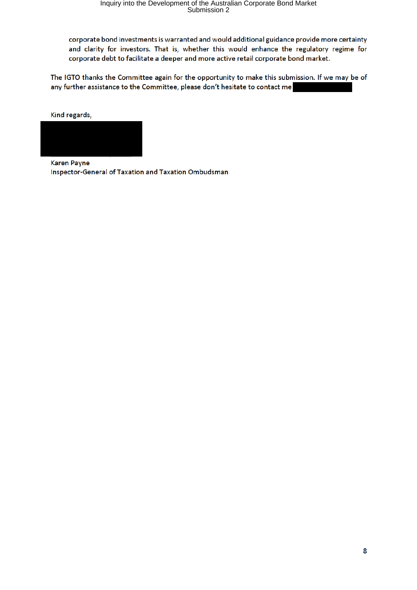corporate bond investments is warranted and would additional guidance provide more certainty and clarity for investors. That is, whether this would enhance the regulatory regime for corporate debt to facilitate a deeper and more active retail corporate bond market.

The IGTO thanks the Committee again for the opportunity to make this submission. If we may be of any further assistance to the Committee, please don't hesitate to contact me

Kind regards,



**Karen Payne** Inspector-General of Taxation and Taxation Ombudsman